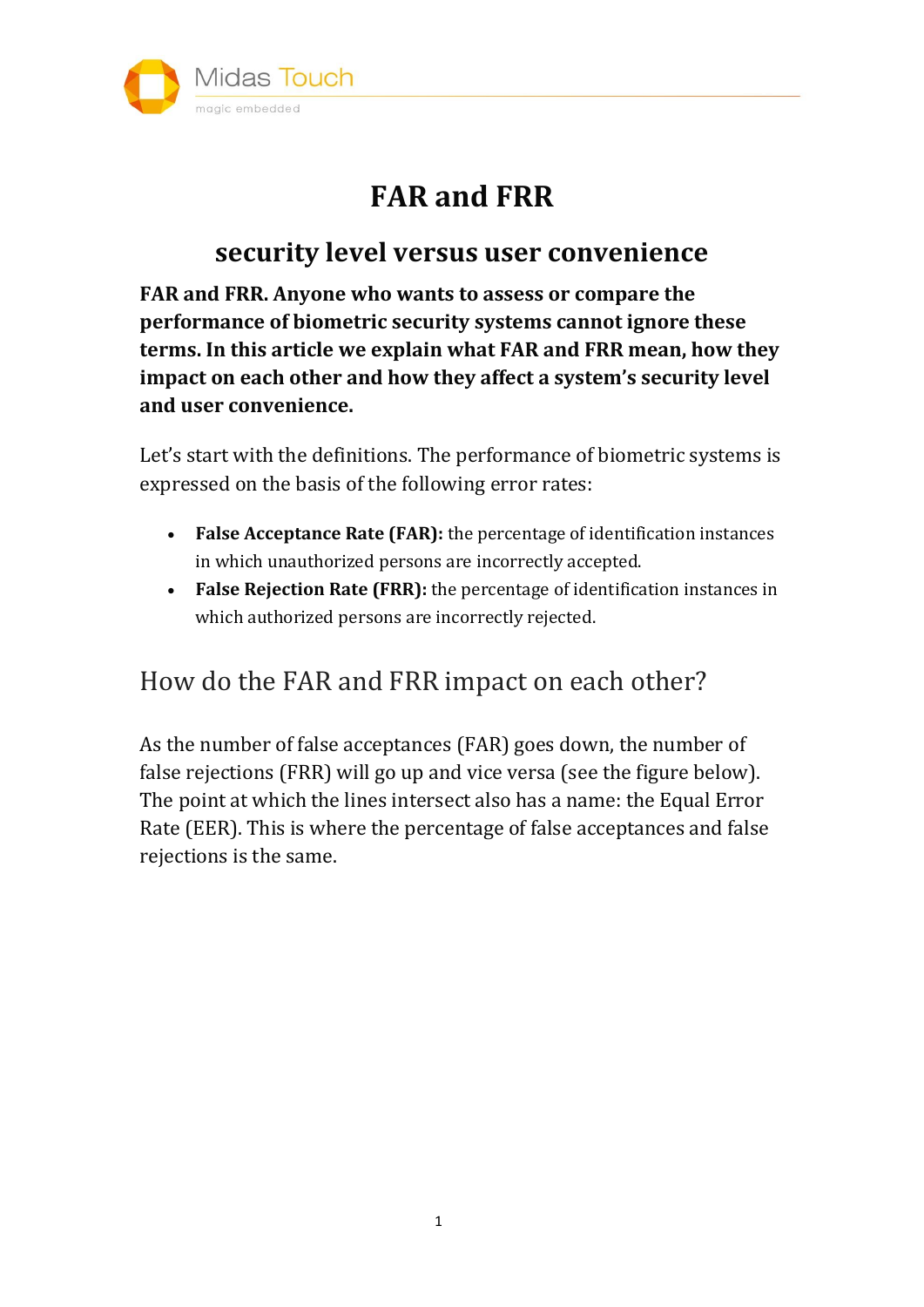

# **FAR and FRR**

#### **security level versus user convenience**

**FAR and FRR. Anyone who wants to assess or compare the performance of biometric security systems cannot ignore these terms. In this article we explain what FAR and FRR mean, how they impact on each other and how they affect a system's security level and user convenience.**

Let's start with the definitions. The performance of biometric systems is expressed on the basis of the following error rates:

- **False Acceptance Rate (FAR):** the percentage of identification instances in which unauthorized persons are incorrectly accepted.
- **False Rejection Rate (FRR):** the percentage of identification instances in which authorized persons are incorrectly rejected.

### How do the FAR and FRR impact on each other?

As the number of false acceptances (FAR) goes down, the number of false rejections (FRR) will go up and vice versa (see the figure below). The point at which the lines intersect also has a name: the Equal Error Rate (EER). This is where the percentage of false acceptances and false rejections is the same.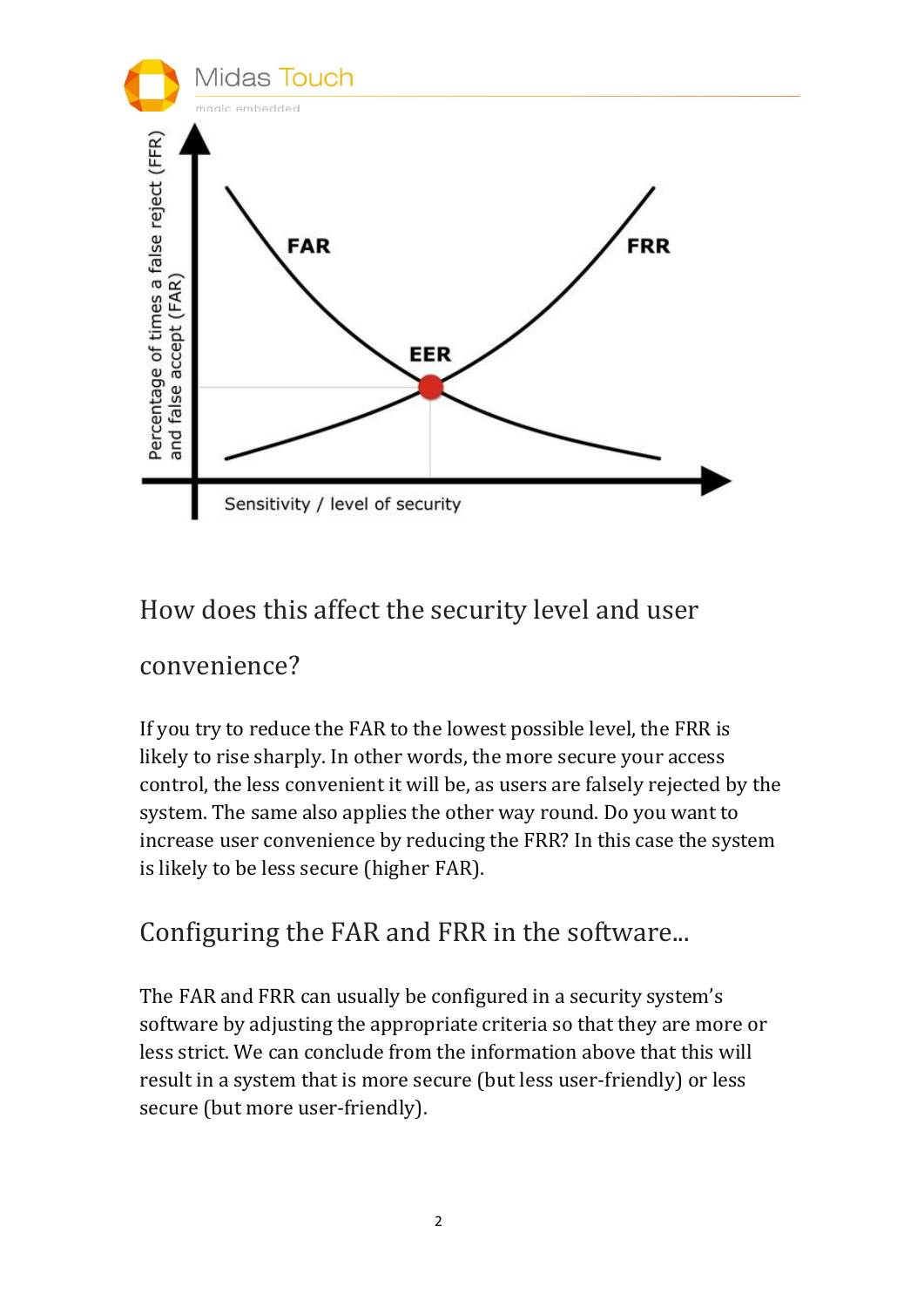

#### How does this affect the security level and user

#### convenience?

If you try to reduce the FAR to the lowest possible level, the FRR is likely to rise sharply. In other words, the more secure your access control, the less convenient it will be, as users are falsely rejected by the system. The same also applies the other way round. Do you want to increase user convenience by reducing the FRR? In this case the system is likely to be less secure (higher FAR).

#### Configuring the FAR and FRR in the software...

The FAR and FRR can usually be configured in a security system's software by adjusting the appropriate criteria so that they are more or less strict. We can conclude from the information above that this will result in a system that is more secure (but less user-friendly) or less secure (but more user-friendly).